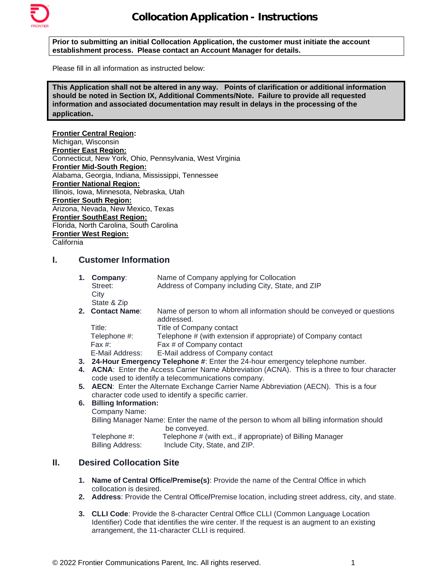

**Prior to submitting an initial Collocation Application, the customer must initiate the account establishment process. Please contact an Account Manager for details.**

Please fill in all information as instructed below:

**This Application shall not be altered in any way. Points of clarification or additional information should be noted in Section IX, Additional Comments/Note. Failure to provide all requested information and associated documentation may result in delays in the processing of the application.**

**Frontier Central Region:** Michigan, Wisconsin **Frontier East Region:** Connecticut, New York, Ohio, Pennsylvania, West Virginia **Frontier Mid-South Region:** Alabama, Georgia, Indiana, Mississippi, Tennessee **Frontier National Region:** Illinois, Iowa, Minnesota, Nebraska, Utah **Frontier South Region:** Arizona, Nevada, New Mexico, Texas **Frontier SouthEast Region:** Florida, North Carolina, South Carolina **Frontier West Region:** California

**I. Customer Information** 

| 1. | Company:<br>Street:<br>City | Name of Company applying for Collocation<br>Address of Company including City, State, and ZIP |
|----|-----------------------------|-----------------------------------------------------------------------------------------------|
|    | State & Zip                 |                                                                                               |
|    | 2. Contact Name:            | Name of person to whom all information should be conveyed or questions<br>addressed.          |
|    | Title:                      | Title of Company contact                                                                      |
|    | Telephone #:                | Telephone # (with extension if appropriate) of Company contact                                |
|    | Fax $#$ :                   | Fax # of Company contact                                                                      |
|    | E-Mail Address:             | E-Mail address of Company contact                                                             |

- **3. 24-Hour Emergency Telephone #**: Enter the 24-hour emergency telephone number.
- **4. ACNA**: Enter the Access Carrier Name Abbreviation (ACNA). This is a three to four character code used to identify a telecommunications company.
- **5. AECN**: Enter the Alternate Exchange Carrier Name Abbreviation (AECN). This is a four character code used to identify a specific carrier.

### **6. Billing Information:**

Company Name:

Billing Manager Name: Enter the name of the person to whom all billing information should be conveyed.

Telephone #: Telephone # (with ext., if appropriate) of Billing Manager<br>Billing Address: Include City, State, and ZIP. Include City, State, and ZIP.

# **II. Desired Collocation Site**

- **1. Name of Central Office/Premise(s)**: Provide the name of the Central Office in which collocation is desired.
- **2. Address**: Provide the Central Office**/**Premise location, including street address, city, and state.
- **3. CLLI Code**: Provide the 8-character Central Office CLLI (Common Language Location Identifier) Code that identifies the wire center. If the request is an augment to an existing arrangement, the 11-character CLLI is required*.*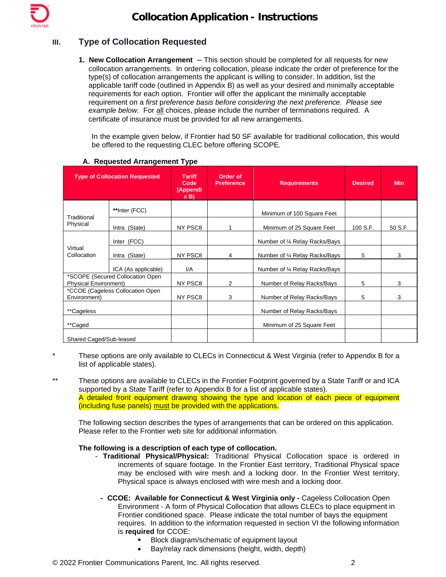# **III. Type of Collocation Requested**

**1. New Collocation Arrangement** – This section should be completed for all requests for new collocation arrangements. In ordering collocation, please indicate the order of preference for the type(s) of collocation arrangements the applicant is willing to consider. In addition, list the applicable tariff code (outlined in Appendix B) as well as your desired and minimally acceptable requirements for each option. Frontier will offer the applicant the minimally acceptable requirement on a *first* p*reference basis before considering the next preference. Please see example below.* For all choices, please include the number of terminations required. A certificate of insurance must be provided for all new arrangements.

In the example given below, if Frontier had 50 SF available for traditional collocation, this would be offered to the requesting CLEC before offering SCOPE.

|                                                                  | <b>Type of Collocation Requested</b> | <b>Tariff</b><br>Code<br>(Appendi<br>x B | Order of<br><b>Preference</b> | <b>Requirements</b>            | <b>Desired</b> | <b>Min</b> |
|------------------------------------------------------------------|--------------------------------------|------------------------------------------|-------------------------------|--------------------------------|----------------|------------|
| Traditional                                                      | **Inter (FCC)                        |                                          |                               | Minimum of 100 Square Feet     |                |            |
| Physical                                                         | Intra (State)                        | NY PSC8                                  |                               | Minimum of 25 Square Feet      | 100 S.F.       | 50 S.F.    |
|                                                                  | Inter (FCC)                          |                                          |                               | Number of 1/4 Relay Racks/Bays |                |            |
| Virtual<br>Collocation                                           | Intra (State)                        | NY PSC8                                  | 4                             | Number of 1/4 Relay Racks/Bays | 5              | 3          |
|                                                                  | ICA (As applicable)                  | I/A                                      |                               | Number of 1/4 Relay Racks/Bays |                |            |
| *SCOPE (Secured Collocation Open<br><b>Physical Environment)</b> |                                      | NY PSC8                                  | 2                             | Number of Relay Racks/Bays     | 5              | 3          |
| *CCOE (Cageless Collocation Open<br>Environment)                 |                                      | NY PSC8                                  | 3                             | Number of Relay Racks/Bays     | 5              | 3          |
| **Cageless                                                       |                                      |                                          |                               | Number of Relay Racks/Bays     |                |            |
| **Caged                                                          |                                      |                                          |                               | Minimum of 25 Square Feet      |                |            |
| Shared Caged/Sub-leased                                          |                                      |                                          |                               |                                |                |            |

## **A. Requested Arrangement Type**

- These options are only available to CLECs in Connecticut & West Virginia (refer to Appendix B for a list of applicable states).
- \*\* These options are available to CLECs in the Frontier Footprint governed by a State Tariff or and ICA supported by a State Tariff (refer to Appendix B for a list of applicable states). A detailed front equipment drawing showing the type and location of each piece of equipment (including fuse panels) must be provided with the applications.

The following section describes the types of arrangements that can be ordered on this application. Please refer to the Frontier web site for additional information.

## **The following is a description of each type of collocation.**

- *-* **Traditional Physical/Physical:** Traditional Physical Collocation space is ordered in increments of square footage. In the Frontier East territory, Traditional Physical space may be enclosed with wire mesh and a locking door. In the Frontier West territory, Physical space is always enclosed with wire mesh and a locking door.
	- **- CCOE: Available for Connecticut & West Virginia only -** Cageless Collocation Open Environment - A form of Physical Collocation that allows CLECs to place equipment in Frontier conditioned space. Please indicate the total number of bays the equipment requires. In addition to the information requested in section VI the following information is **required** for CCOE:
		- Block diagram/schematic of equipment layout
		- Bay/relay rack dimensions (height, width, depth)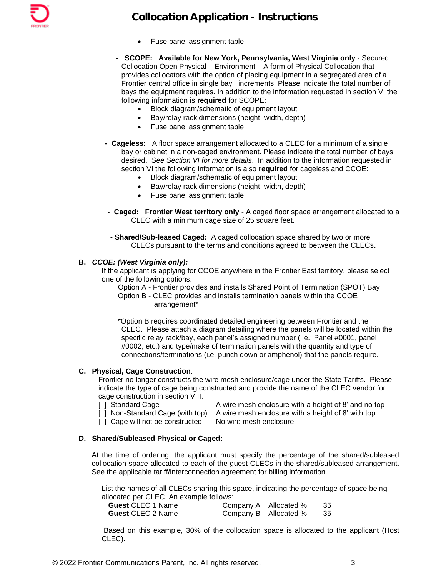

- Fuse panel assignment table
- **SCOPE: Available for New York, Pennsylvania, West Virginia only**  Secured Collocation Open Physical Environment – A form of Physical Collocation that provides collocators with the option of placing equipment in a segregated area of a Frontier central office in single bay increments. Please indicate the total number of bays the equipment requires. In addition to the information requested in section VI the following information is **required** for SCOPE:
	- Block diagram/schematic of equipment layout
	- Bay/relay rack dimensions (height, width, depth)
	- Fuse panel assignment table
- **Cageless:** A floor space arrangement allocated to a CLEC for a minimum of a single bay or cabinet in a non-caged environment. Please indicate the total number of bays desired. *See Section VI for more details*. In addition to the information requested in section VI the following information is also **required** for cageless and CCOE:
	- Block diagram/schematic of equipment layout
	- Bay/relay rack dimensions (height, width, depth)
	- Fuse panel assignment table
- **Caged: Frontier West territory only** A caged floor space arrangement allocated to a CLEC with a minimum cage size of 25 square feet.
- **- Shared/Sub-leased Caged:** A caged collocation space shared by two or more CLECs pursuant to the terms and conditions agreed to between the CLECs**.**

#### **B.** *CCOE: (West Virginia only):*

If the applicant is applying for CCOE anywhere in the Frontier East territory, please select one of the following options:

Option A - Frontier provides and installs Shared Point of Termination (SPOT) Bay Option B - CLEC provides and installs termination panels within the CCOE arrangement\*

\*Option B requires coordinated detailed engineering between Frontier and the CLEC. Please attach a diagram detailing where the panels will be located within the specific relay rack/bay, each panel's assigned number (i.e.: Panel #0001, panel #0002, etc.) and type/make of termination panels with the quantity and type of connections/terminations (i.e. punch down or amphenol) that the panels require.

#### **C. Physical, Cage Construction**:

Frontier no longer constructs the wire mesh enclosure/cage under the State Tariffs. Please indicate the type of cage being constructed and provide the name of the CLEC vendor for cage construction in section VIII.

[ ] Cage will not be constructed No wire mesh enclosure

[ ] Standard Cage A wire mesh enclosure with a height of 8' and no top [ ] Non-Standard Cage (with top) A wire mesh enclosure with a height of 8' with top

#### **D. Shared/Subleased Physical or Caged:**

At the time of ordering, the applicant must specify the percentage of the shared/subleased collocation space allocated to each of the guest CLECs in the shared/subleased arrangement. See the applicable tariff/interconnection agreement for billing information.

List the names of all CLECs sharing this space, indicating the percentage of space being allocated per CLEC. An example follows:

| <b>Guest CLEC 1 Name</b> | Company A Allocated % 2 35      |  |
|--------------------------|---------------------------------|--|
| <b>Guest CLEC 2 Name</b> | Company B Allocated $\%$ ___ 35 |  |

Based on this example, 30% of the collocation space is allocated to the applicant (Host CLEC).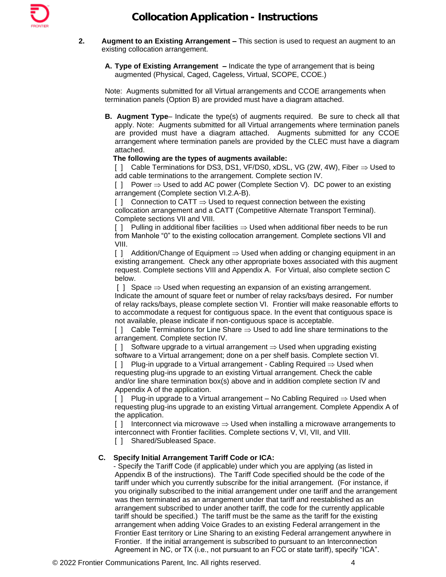- **2. Augment to an Existing Arrangement –** This section is used to request an augment to an existing collocation arrangement.
	- **A. Type of Existing Arrangement –** Indicate the type of arrangement that is being augmented (Physical, Caged, Cageless, Virtual, SCOPE, CCOE.)

Note: Augments submitted for all Virtual arrangements and CCOE arrangements when termination panels (Option B) are provided must have a diagram attached.

**B. Augment Type**– Indicate the type(s) of augments required. Be sure to check all that apply. Note: Augments submitted for all Virtual arrangements where termination panels are provided must have a diagram attached. Augments submitted for any CCOE arrangement where termination panels are provided by the CLEC must have a diagram attached.

### **The following are the types of augments available:**

 $[$   $]$  Cable Terminations for DS3, DS1, VF/DS0, xDSL, VG (2W, 4W), Fiber  $\Rightarrow$  Used to add cable terminations to the arrangement. Complete section IV.

 $[ ]$  Power  $\Rightarrow$  Used to add AC power (Complete Section V). DC power to an existing arrangement (Complete section VI.2.A-B).

 $[1]$  Connection to CATT  $\Rightarrow$  Used to request connection between the existing collocation arrangement and a CATT (Competitive Alternate Transport Terminal). Complete sections VII and VIII.

[ ] Pulling in additional fiber facilities  $\Rightarrow$  Used when additional fiber needs to be run from Manhole "0" to the existing collocation arrangement. Complete sections VII and VIII.

[ ] Addition/Change of Equipment  $\Rightarrow$  Used when adding or changing equipment in an existing arrangement. Check any other appropriate boxes associated with this augment request. Complete sections VIII and Appendix A. For Virtual, also complete section C below.

[ ] Space  $\Rightarrow$  Used when requesting an expansion of an existing arrangement. Indicate the amount of square feet or number of relay racks/bays desired**.** For number of relay racks/bays, please complete section VI. Frontier will make reasonable efforts to to accommodate a request for contiguous space. In the event that contiguous space is not available, please indicate if non-contiguous space is acceptable.

 $\lceil \cdot \rceil$  Cable Terminations for Line Share  $\Rightarrow$  Used to add line share terminations to the arrangement. Complete section IV.

 $[$  ] Software upgrade to a virtual arrangement  $\Rightarrow$  Used when upgrading existing software to a Virtual arrangement; done on a per shelf basis. Complete section VI.

[ ] Plug-in upgrade to a Virtual arrangement - Cabling Required  $\Rightarrow$  Used when requesting plug-ins upgrade to an existing Virtual arrangement. Check the cable and/or line share termination box(s) above and in addition complete section IV and Appendix A of the application.

[ ] Plug-in upgrade to a Virtual arrangement – No Cabling Required  $\Rightarrow$  Used when requesting plug-ins upgrade to an existing Virtual arrangement. Complete Appendix A of the application.

[ ] Interconnect via microwave  $\Rightarrow$  Used when installing a microwave arrangements to interconnect with Frontier facilities. Complete sections V, VI, VII, and VIII.

[ ] Shared/Subleased Space.

## **C. Specify Initial Arrangement Tariff Code or ICA:**

- Specify the Tariff Code (if applicable) under which you are applying (as listed in Appendix B of the instructions). The Tariff Code specified should be the code of the tariff under which you currently subscribe for the initial arrangement. (For instance, if you originally subscribed to the initial arrangement under one tariff and the arrangement was then terminated as an arrangement under that tariff and reestablished as an arrangement subscribed to under another tariff, the code for the currently applicable tariff should be specified.) The tariff must be the same as the tariff for the existing arrangement when adding Voice Grades to an existing Federal arrangement in the Frontier East territory or Line Sharing to an existing Federal arrangement anywhere in Frontier. If the initial arrangement is subscribed to pursuant to an Interconnection Agreement in NC, or TX (i.e., not pursuant to an FCC or state tariff), specify "ICA".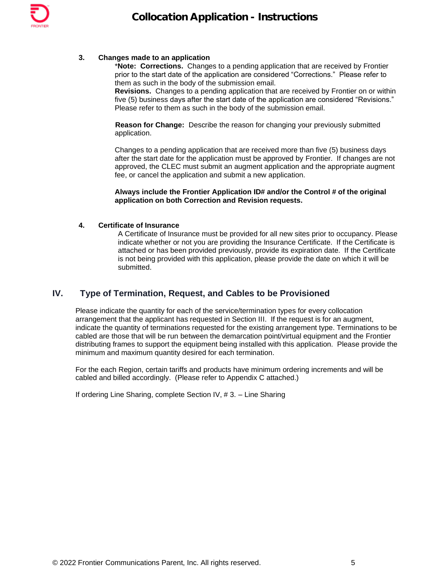

## **3. Changes made to an application**

\***Note: Corrections.** Changes to a pending application that are received by Frontier prior to the start date of the application are considered "Corrections." Please refer to them as such in the body of the submission email.

**Revisions.** Changes to a pending application that are received by Frontier on or within five (5) business days after the start date of the application are considered "Revisions." Please refer to them as such in the body of the submission email.

**Reason for Change:** Describe the reason for changing your previously submitted application.

Changes to a pending application that are received more than five (5) business days after the start date for the application must be approved by Frontier. If changes are not approved, the CLEC must submit an augment application and the appropriate augment fee, or cancel the application and submit a new application.

#### **Always include the Frontier Application ID# and/or the Control # of the original application on both Correction and Revision requests.**

### **4. Certificate of Insurance**

A Certificate of Insurance must be provided for all new sites prior to occupancy. Please indicate whether or not you are providing the Insurance Certificate. If the Certificate is attached or has been provided previously, provide its expiration date. If the Certificate is not being provided with this application, please provide the date on which it will be submitted.

# **IV. Type of Termination, Request, and Cables to be Provisioned**

Please indicate the quantity for each of the service/termination types for every collocation arrangement that the applicant has requested in Section III. If the request is for an augment, indicate the quantity of terminations requested for the existing arrangement type. Terminations to be cabled are those that will be run between the demarcation point/virtual equipment and the Frontier distributing frames to support the equipment being installed with this application. Please provide the minimum and maximum quantity desired for each termination.

For the each Region, certain tariffs and products have minimum ordering increments and will be cabled and billed accordingly. (Please refer to Appendix C attached.)

If ordering Line Sharing, complete Section IV, # 3. – Line Sharing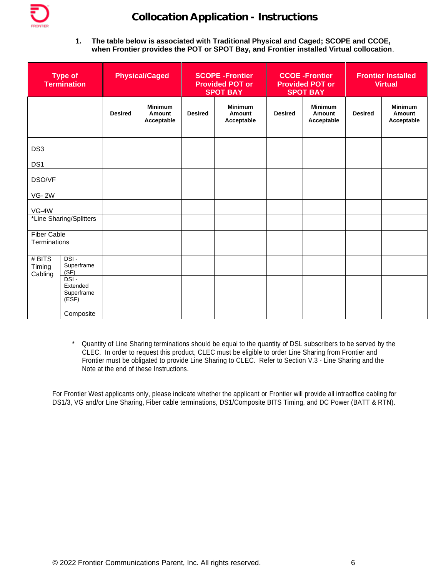

**1. The table below is associated with Traditional Physical and Caged; SCOPE and CCOE, when Frontier provides the POT or SPOT Bay, and Frontier installed Virtual collocation**.

|                                    | <b>Type of</b><br><b>Termination</b>               | <b>Physical/Caged</b> |                                        |                | <b>SCOPE -Frontier</b><br><b>Provided POT or</b><br><b>SPOT BAY</b> |                | <b>CCOE-Frontier</b><br><b>Provided POT or</b><br><b>SPOT BAY</b> |                | <b>Frontier Installed</b><br><b>Virtual</b> |  |  |
|------------------------------------|----------------------------------------------------|-----------------------|----------------------------------------|----------------|---------------------------------------------------------------------|----------------|-------------------------------------------------------------------|----------------|---------------------------------------------|--|--|
|                                    |                                                    | <b>Desired</b>        | <b>Minimum</b><br>Amount<br>Acceptable | <b>Desired</b> | <b>Minimum</b><br>Amount<br>Acceptable                              | <b>Desired</b> | <b>Minimum</b><br>Amount<br>Acceptable                            | <b>Desired</b> | <b>Minimum</b><br>Amount<br>Acceptable      |  |  |
| DS <sub>3</sub>                    |                                                    |                       |                                        |                |                                                                     |                |                                                                   |                |                                             |  |  |
| DS <sub>1</sub>                    |                                                    |                       |                                        |                |                                                                     |                |                                                                   |                |                                             |  |  |
| DSO/VF                             |                                                    |                       |                                        |                |                                                                     |                |                                                                   |                |                                             |  |  |
| <b>VG-2W</b>                       |                                                    |                       |                                        |                |                                                                     |                |                                                                   |                |                                             |  |  |
| $VG-4W$                            |                                                    |                       |                                        |                |                                                                     |                |                                                                   |                |                                             |  |  |
|                                    | *Line Sharing/Splitters                            |                       |                                        |                |                                                                     |                |                                                                   |                |                                             |  |  |
| <b>Fiber Cable</b><br>Terminations |                                                    |                       |                                        |                |                                                                     |                |                                                                   |                |                                             |  |  |
| $#$ BITS<br>Timing<br>Cabling      | DSI-<br>Superframe<br>(SF)                         |                       |                                        |                |                                                                     |                |                                                                   |                |                                             |  |  |
|                                    | $DSI -$<br>Extended<br>Superframe<br>$(E\dot{S}F)$ |                       |                                        |                |                                                                     |                |                                                                   |                |                                             |  |  |
|                                    | Composite                                          |                       |                                        |                |                                                                     |                |                                                                   |                |                                             |  |  |

Quantity of Line Sharing terminations should be equal to the quantity of DSL subscribers to be served by the CLEC. In order to request this product, CLEC must be eligible to order Line Sharing from Frontier and Frontier must be obligated to provide Line Sharing to CLEC. Refer to Section V.3 - Line Sharing and the Note at the end of these Instructions.

For Frontier West applicants only, please indicate whether the applicant or Frontier will provide all intraoffice cabling for DS1/3, VG and/or Line Sharing, Fiber cable terminations, DS1/Composite BITS Timing, and DC Power (BATT & RTN).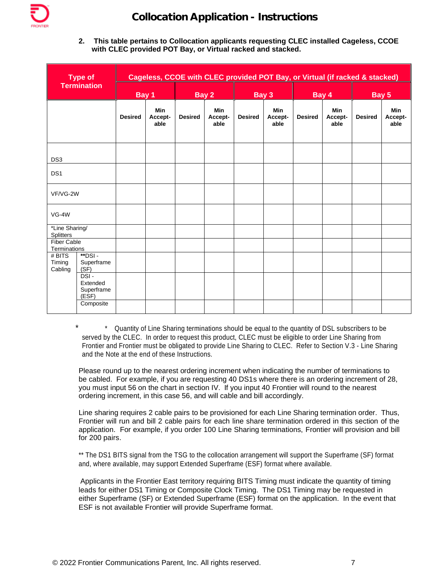

**2. This table pertains to Collocation applicants requesting CLEC installed Cageless, CCOE with CLEC provided POT Bay, or Virtual racked and stacked.** 

|                                    | <b>Type of</b>                          | Cageless, CCOE with CLEC provided POT Bay, or Virtual (if racked & stacked) |                               |                |                               |                |                               |                |                               |                |                               |
|------------------------------------|-----------------------------------------|-----------------------------------------------------------------------------|-------------------------------|----------------|-------------------------------|----------------|-------------------------------|----------------|-------------------------------|----------------|-------------------------------|
| <b>Termination</b>                 |                                         | Bay 1                                                                       |                               | Bay 2          |                               | Bay 3          |                               | Bay 4          |                               | Bay 5          |                               |
|                                    |                                         | <b>Desired</b>                                                              | <b>Min</b><br>Accept-<br>able | <b>Desired</b> | <b>Min</b><br>Accept-<br>able | <b>Desired</b> | <b>Min</b><br>Accept-<br>able | <b>Desired</b> | <b>Min</b><br>Accept-<br>able | <b>Desired</b> | <b>Min</b><br>Accept-<br>able |
| DS <sub>3</sub>                    |                                         |                                                                             |                               |                |                               |                |                               |                |                               |                |                               |
| DS <sub>1</sub>                    |                                         |                                                                             |                               |                |                               |                |                               |                |                               |                |                               |
| VF/VG-2W                           |                                         |                                                                             |                               |                |                               |                |                               |                |                               |                |                               |
| $VG-4W$                            |                                         |                                                                             |                               |                |                               |                |                               |                |                               |                |                               |
| *Line Sharing/<br>Splitters        |                                         |                                                                             |                               |                |                               |                |                               |                |                               |                |                               |
| <b>Fiber Cable</b><br>Terminations |                                         |                                                                             |                               |                |                               |                |                               |                |                               |                |                               |
| # BITS<br>Timing<br>Cabling        | $*$ DSI-<br>Superframe<br>(SF)          |                                                                             |                               |                |                               |                |                               |                |                               |                |                               |
|                                    | DSI-<br>Extended<br>Superframe<br>(ESF) |                                                                             |                               |                |                               |                |                               |                |                               |                |                               |
|                                    | Composite                               |                                                                             |                               |                |                               |                |                               |                |                               |                |                               |

Quantity of Line Sharing terminations should be equal to the quantity of DSL subscribers to be served by the CLEC. In order to request this product, CLEC must be eligible to order Line Sharing from Frontier and Frontier must be obligated to provide Line Sharing to CLEC. Refer to Section V.3 - Line Sharing and the Note at the end of these Instructions.

Please round up to the nearest ordering increment when indicating the number of terminations to be cabled. For example, if you are requesting 40 DS1s where there is an ordering increment of 28, you must input 56 on the chart in section IV. If you input 40 Frontier will round to the nearest ordering increment, in this case 56, and will cable and bill accordingly.

Line sharing requires 2 cable pairs to be provisioned for each Line Sharing termination order. Thus, Frontier will run and bill 2 cable pairs for each line share termination ordered in this section of the application. For example, if you order 100 Line Sharing terminations, Frontier will provision and bill for 200 pairs.

\*\* The DS1 BITS signal from the TSG to the collocation arrangement will support the Superframe (SF) format and, where available, may support Extended Superframe (ESF) format where available.

Applicants in the Frontier East territory requiring BITS Timing must indicate the quantity of timing leads for either DS1 Timing or Composite Clock Timing. The DS1 Timing may be requested in either Superframe (SF) or Extended Superframe (ESF) format on the application. In the event that ESF is not available Frontier will provide Superframe format.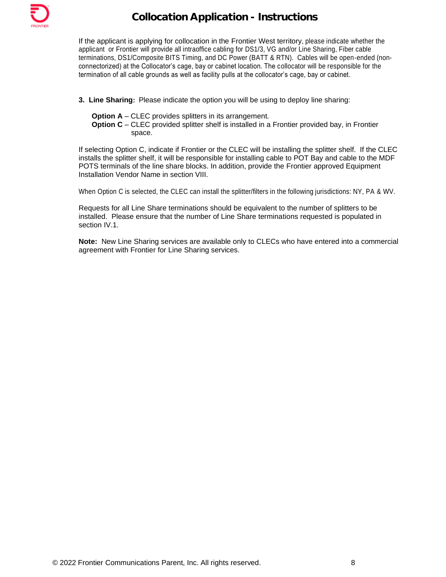

If the applicant is applying for collocation in the Frontier West territory, please indicate whether the applicant or Frontier will provide all intraoffice cabling for DS1/3, VG and/or Line Sharing, Fiber cable terminations, DS1/Composite BITS Timing, and DC Power (BATT & RTN). Cables will be open-ended (nonconnectorized) at the Collocator's cage, bay or cabinet location. The collocator will be responsible for the termination of all cable grounds as well as facility pulls at the collocator's cage, bay or cabinet.

- **3. Line Sharing:** Please indicate the option you will be using to deploy line sharing:
	- **Option A** CLEC provides splitters in its arrangement.
	- **Option C** CLEC provided splitter shelf is installed in a Frontier provided bay, in Frontier space.

If selecting Option C, indicate if Frontier or the CLEC will be installing the splitter shelf. If the CLEC installs the splitter shelf, it will be responsible for installing cable to POT Bay and cable to the MDF POTS terminals of the line share blocks. In addition, provide the Frontier approved Equipment Installation Vendor Name in section VIII.

When Option C is selected, the CLEC can install the splitter/filters in the following jurisdictions: NY, PA & WV.

Requests for all Line Share terminations should be equivalent to the number of splitters to be installed. Please ensure that the number of Line Share terminations requested is populated in section IV.1.

**Note:** New Line Sharing services are available only to CLECs who have entered into a commercial agreement with Frontier for Line Sharing services.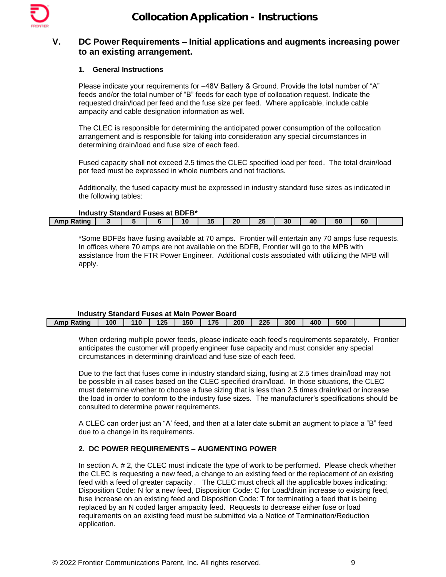

# **V. DC Power Requirements – Initial applications and augments increasing power to an existing arrangement.**

#### **1. General Instructions**

Please indicate your requirements for –48V Battery & Ground. Provide the total number of "A" feeds and/or the total number of "B" feeds for each type of collocation request. Indicate the requested drain/load per feed and the fuse size per feed. Where applicable, include cable ampacity and cable designation information as well.

The CLEC is responsible for determining the anticipated power consumption of the collocation arrangement and is responsible for taking into consideration any special circumstances in determining drain/load and fuse size of each feed.

Fused capacity shall not exceed 2.5 times the CLEC specified load per feed. The total drain/load per feed must be expressed in whole numbers and not fractions.

Additionally, the fused capacity must be expressed in industry standard fuse sizes as indicated in the following tables:

### **Industry Standard Fuses at BDFB\***

| 00<br>. .<br>$\sim$<br>~<br>"<br>$\sqrt{2}$<br>Ratinɑ<br>. .<br>41<br>้วบ<br>oι<br>שווור<br>vı<br>тu<br>--<br>-- | THUUSU V OLAHUATU TUS <del>C</del> S AL DDT D |  |  |  |  |  |  |  |  |  |  |  |  |
|------------------------------------------------------------------------------------------------------------------|-----------------------------------------------|--|--|--|--|--|--|--|--|--|--|--|--|
|                                                                                                                  |                                               |  |  |  |  |  |  |  |  |  |  |  |  |

\*Some BDFBs have fusing available at 70 amps. Frontier will entertain any 70 amps fuse requests. In offices where 70 amps are not available on the BDFB, Frontier will go to the MPB with assistance from the FTR Power Engineer. Additional costs associated with utilizing the MPB will apply.

#### **Industry Standard Fuses at Main Power Board**

| Amp Rating | 100 | 110 | 12E | 150 | 175 | 200 | クク斥 | 300 | 400 | 500 |  |
|------------|-----|-----|-----|-----|-----|-----|-----|-----|-----|-----|--|

When ordering multiple power feeds, please indicate each feed's requirements separately. Frontier anticipates the customer will properly engineer fuse capacity and must consider any special circumstances in determining drain/load and fuse size of each feed.

Due to the fact that fuses come in industry standard sizing, fusing at 2.5 times drain/load may not be possible in all cases based on the CLEC specified drain/load. In those situations, the CLEC must determine whether to choose a fuse sizing that is less than 2.5 times drain/load or increase the load in order to conform to the industry fuse sizes. The manufacturer's specifications should be consulted to determine power requirements.

A CLEC can order just an "A' feed, and then at a later date submit an augment to place a "B" feed due to a change in its requirements.

## **2. DC POWER REQUIREMENTS – AUGMENTING POWER**

In section A. # 2, the CLEC must indicate the type of work to be performed. Please check whether the CLEC is requesting a new feed, a change to an existing feed or the replacement of an existing feed with a feed of greater capacity . The CLEC must check all the applicable boxes indicating: Disposition Code: N for a new feed, Disposition Code: C for Load/drain increase to existing feed, fuse increase on an existing feed and Disposition Code: T for terminating a feed that is being replaced by an N coded larger ampacity feed. Requests to decrease either fuse or load requirements on an existing feed must be submitted via a Notice of Termination/Reduction application.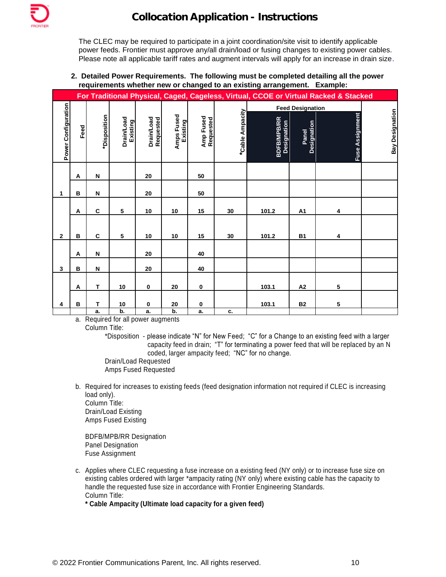

The CLEC may be required to participate in a joint coordination/site visit to identify applicable power feeds. Frontier must approve any/all drain/load or fusing changes to existing power cables. Please note all applicable tariff rates and augment intervals will apply for an increase in drain size.

**2. Detailed Power Requirements. The following must be completed detailing all the power requirements whether new or changed to an existing arrangement. Example:**

|                     |      |              |                               |                         |                        |                        |                 |                                   |                         | For Traditional Physical, Caged, Cageless, Virtual, CCOE or Virtual Racked & Stacked |                        |
|---------------------|------|--------------|-------------------------------|-------------------------|------------------------|------------------------|-----------------|-----------------------------------|-------------------------|--------------------------------------------------------------------------------------|------------------------|
|                     |      |              |                               |                         |                        |                        |                 |                                   | <b>Feed Designation</b> |                                                                                      |                        |
|                     |      |              |                               |                         |                        |                        |                 |                                   |                         |                                                                                      |                        |
| Power Configuration | Feed | *Disposition | <b>Drain/Load</b><br>Existing | Drain/Load<br>Requested | Amps Fused<br>Existing | Amp Fused<br>Requested | *Cable Ampacity | <b>BDFB/MPB/RR</b><br>Designation | Panel<br>Designation    | Fuse Assignment                                                                      | <b>Bay Designation</b> |
|                     |      |              |                               |                         |                        |                        |                 |                                   |                         |                                                                                      |                        |
|                     |      |              |                               |                         |                        |                        |                 |                                   |                         |                                                                                      |                        |
|                     | Α    | N            |                               | 20                      |                        | 50                     |                 |                                   |                         |                                                                                      |                        |
|                     |      |              |                               |                         |                        |                        |                 |                                   |                         |                                                                                      |                        |
| 1                   | B    | N            |                               | 20                      |                        | 50                     |                 |                                   |                         |                                                                                      |                        |
|                     |      |              |                               |                         |                        |                        |                 |                                   |                         |                                                                                      |                        |
|                     | Α    | $\mathbf c$  | 5                             | 10                      | 10                     | 15                     | 30              | 101.2                             | A1                      | 4                                                                                    |                        |
|                     |      |              |                               |                         |                        |                        |                 |                                   |                         |                                                                                      |                        |
| $\mathbf{2}$        | B    | C            | 5                             | 10                      | 10                     | 15                     | 30              | 101.2                             | <b>B1</b>               | 4                                                                                    |                        |
|                     |      |              |                               |                         |                        |                        |                 |                                   |                         |                                                                                      |                        |
|                     | Α    | N            |                               | 20                      |                        | 40                     |                 |                                   |                         |                                                                                      |                        |
| $\mathbf{3}$        | B    | ${\sf N}$    |                               | ${\bf 20}$              |                        | 40                     |                 |                                   |                         |                                                                                      |                        |
|                     |      |              |                               |                         |                        |                        |                 |                                   |                         |                                                                                      |                        |
|                     | Α    | T            | 10                            | $\pmb{0}$               | 20                     | $\pmb{0}$              |                 | 103.1                             | A2                      | 5                                                                                    |                        |
|                     |      |              |                               |                         |                        |                        |                 |                                   |                         |                                                                                      |                        |
| 4                   | B    | T            | 10                            | $\pmb{0}$               | 20                     | $\pmb{0}$              |                 | 103.1                             | <b>B2</b>               | 5                                                                                    |                        |
|                     |      | a.           | b.                            | a.                      | b.                     | a.                     | c.              |                                   |                         |                                                                                      |                        |

a. Required for all power augments Column Title:

> \*Disposition - please indicate "N" for New Feed; "C" for a Change to an existing feed with a larger capacity feed in drain; "T" for terminating a power feed that will be replaced by an N coded, larger ampacity feed; "NC" for no change.

Drain/Load Requested Amps Fused Requested

b. Required for increases to existing feeds (feed designation information not required if CLEC is increasing load only). Column Title: Drain/Load Existing

Amps Fused Existing

BDFB/MPB/RR Designation Panel Designation Fuse Assignment

c. Applies where CLEC requesting a fuse increase on a existing feed (NY only) or to increase fuse size on existing cables ordered with larger \*ampacity rating (NY only) where existing cable has the capacity to handle the requested fuse size in accordance with Frontier Engineering Standards. Column Title:

**\* Cable Ampacity (Ultimate load capacity for a given feed)**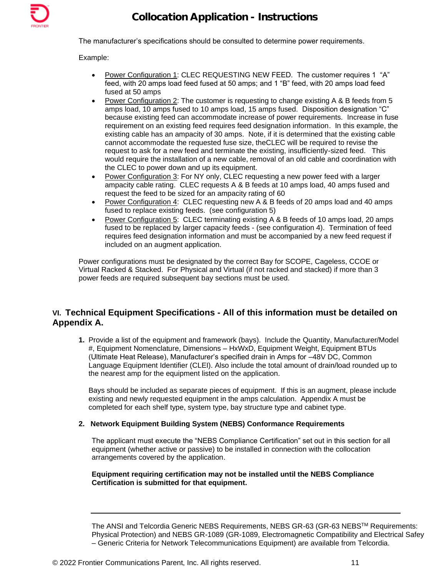

The manufacturer's specifications should be consulted to determine power requirements.

### Example:

- Power Configuration 1: CLEC REQUESTING NEW FEED. The customer requires 1 "A" feed, with 20 amps load feed fused at 50 amps; and 1 "B" feed, with 20 amps load feed fused at 50 amps
- Power Configuration 2: The customer is requesting to change existing A & B feeds from 5 amps load, 10 amps fused to 10 amps load, 15 amps fused. Disposition designation "C" because existing feed can accommodate increase of power requirements. Increase in fuse requirement on an existing feed requires feed designation information. In this example, the existing cable has an ampacity of 30 amps. Note, if it is determined that the existing cable cannot accommodate the requested fuse size, theCLEC will be required to revise the request to ask for a new feed and terminate the existing, insufficiently-sized feed. This would require the installation of a new cable, removal of an old cable and coordination with the CLEC to power down and up its equipment.
- Power Configuration 3: For NY only, CLEC requesting a new power feed with a larger ampacity cable rating. CLEC requests A & B feeds at 10 amps load, 40 amps fused and request the feed to be sized for an ampacity rating of 60
- Power Configuration 4: CLEC requesting new A & B feeds of 20 amps load and 40 amps fused to replace existing feeds. (see configuration 5)
- Power Configuration 5: CLEC terminating existing A & B feeds of 10 amps load, 20 amps fused to be replaced by larger capacity feeds - (see configuration 4). Termination of feed requires feed designation information and must be accompanied by a new feed request if included on an augment application.

Power configurations must be designated by the correct Bay for SCOPE, Cageless, CCOE or Virtual Racked & Stacked. For Physical and Virtual (if not racked and stacked) if more than 3 power feeds are required subsequent bay sections must be used.

# **VI. Technical Equipment Specifications - All of this information must be detailed on Appendix A.**

**1.** Provide a list of the equipment and framework (bays). Include the Quantity, Manufacturer/Model #, Equipment Nomenclature, Dimensions – HxWxD, Equipment Weight, Equipment BTUs (Ultimate Heat Release), Manufacturer's specified drain in Amps for –48V DC, Common Language Equipment Identifier (CLEI). Also include the total amount of drain/load rounded up to the nearest amp for the equipment listed on the application.

Bays should be included as separate pieces of equipment. If this is an augment, please include existing and newly requested equipment in the amps calculation. Appendix A must be completed for each shelf type, system type, bay structure type and cabinet type.

## **2. Network Equipment Building System (NEBS) Conformance Requirements**

The applicant must execute the "NEBS Compliance Certification" set out in this section for all equipment (whether active or passive) to be installed in connection with the collocation arrangements covered by the application.

### **Equipment requiring certification may not be installed until the NEBS Compliance Certification is submitted for that equipment.**

The ANSI and Telcordia Generic NEBS Requirements, NEBS GR-63 (GR-63 NEBS™ Requirements: Physical Protection) and NEBS GR-1089 (GR-1089, Electromagnetic Compatibility and Electrical Safey – Generic Criteria for Network Telecommunications Equipment) are available from Telcordia.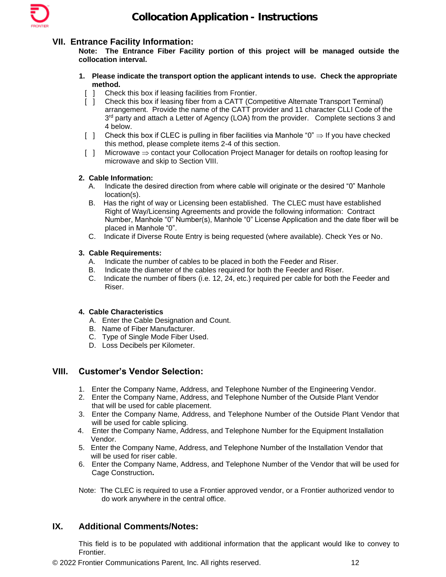

# **VII. Entrance Facility Information:**

**Note: The Entrance Fiber Facility portion of this project will be managed outside the collocation interval.**

- **1. Please indicate the transport option the applicant intends to use. Check the appropriate method.**
	- [ ] Check this box if leasing facilities from Frontier.
	- [ ] Check this box if leasing fiber from a CATT (Competitive Alternate Transport Terminal) arrangement. Provide the name of the CATT provider and 11 character CLLI Code of the 3<sup>rd</sup> party and attach a Letter of Agency (LOA) from the provider. Complete sections 3 and 4 below.
	- [ ] Check this box if CLEC is pulling in fiber facilities via Manhole " $0" \Rightarrow$  If you have checked this method, please complete items 2-4 of this section.
	- $[ ]$  Microwave  $\Rightarrow$  contact your Collocation Project Manager for details on rooftop leasing for microwave and skip to Section VIII.

## **2. Cable Information:**

- A. Indicate the desired direction from where cable will originate or the desired "0" Manhole location(s).
- B. Has the right of way or Licensing been established. The CLEC must have established Right of Way/Licensing Agreements and provide the following information: Contract Number, Manhole "0" Number(s), Manhole "0" License Application and the date fiber will be placed in Manhole "0".
- C. Indicate if Diverse Route Entry is being requested (where available). Check Yes or No.

### **3. Cable Requirements:**

- A. Indicate the number of cables to be placed in both the Feeder and Riser.
- B. Indicate the diameter of the cables required for both the Feeder and Riser.
- C. Indicate the number of fibers (i.e. 12, 24, etc.) required per cable for both the Feeder and Riser.

## **4. Cable Characteristics**

- A. Enter the Cable Designation and Count.
- B. Name of Fiber Manufacturer.
- C. Type of Single Mode Fiber Used.
- D. Loss Decibels per Kilometer.

# **VIII. Customer's Vendor Selection:**

- 1. Enter the Company Name, Address, and Telephone Number of the Engineering Vendor.
- 2. Enter the Company Name, Address, and Telephone Number of the Outside Plant Vendor that will be used for cable placement.
- 3. Enter the Company Name, Address, and Telephone Number of the Outside Plant Vendor that will be used for cable splicing.
- 4. Enter the Company Name, Address, and Telephone Number for the Equipment Installation Vendor.
- 5. Enter the Company Name, Address, and Telephone Number of the Installation Vendor that will be used for riser cable.
- 6. Enter the Company Name, Address, and Telephone Number of the Vendor that will be used for Cage Construction**.**
- Note: The CLEC is required to use a Frontier approved vendor, or a Frontier authorized vendor to do work anywhere in the central office.

# **IX. Additional Comments/Notes:**

This field is to be populated with additional information that the applicant would like to convey to Frontier.

© 2022 Frontier Communications Parent, Inc. All rights reserved. 12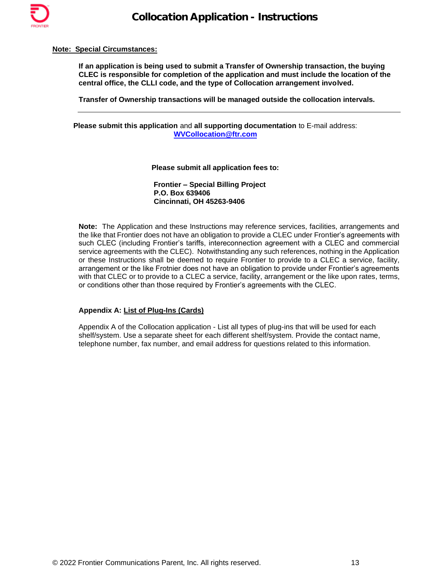

#### **Note: Special Circumstances:**

**If an application is being used to submit a Transfer of Ownership transaction, the buying CLEC is responsible for completion of the application and must include the location of the central office, the CLLI code, and the type of Collocation arrangement involved.** 

**Transfer of Ownership transactions will be managed outside the collocation intervals.**

**Please submit this application** and **all supporting documentation** to E-mail address: **[WVCollocation@ftr.com](mailto:WVCollocation@ftr.com)**

**Please submit all application fees to:**

 **Frontier – Special Billing Project P.O. Box 639406 Cincinnati, OH 45263-9406**

**Note:** The Application and these Instructions may reference services, facilities, arrangements and the like that Frontier does not have an obligation to provide a CLEC under Frontier's agreements with such CLEC (including Frontier's tariffs, intereconnection agreement with a CLEC and commercial service agreements with the CLEC). Notwithstanding any such references, nothing in the Application or these Instructions shall be deemed to require Frontier to provide to a CLEC a service, facility, arrangement or the like Frotnier does not have an obligation to provide under Frontier's agreements with that CLEC or to provide to a CLEC a service, facility, arrangement or the like upon rates, terms, or conditions other than those required by Frontier's agreements with the CLEC.

#### **Appendix A: List of Plug-Ins (Cards)**

Appendix A of the Collocation application - List all types of plug-ins that will be used for each shelf/system. Use a separate sheet for each different shelf/system. Provide the contact name, telephone number, fax number, and email address for questions related to this information.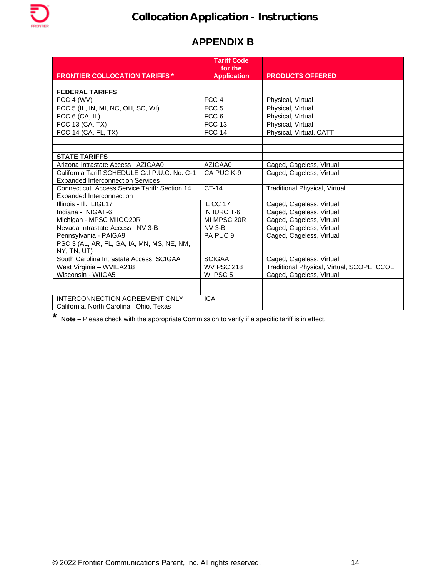# **APPENDIX B**

|                                               | <b>Tariff Code</b><br>for the |                                            |
|-----------------------------------------------|-------------------------------|--------------------------------------------|
| <b>FRONTIER COLLOCATION TARIFFS *</b>         | <b>Application</b>            | <b>PRODUCTS OFFERED</b>                    |
|                                               |                               |                                            |
| <b>FEDERAL TARIFFS</b>                        |                               |                                            |
| FCC 4 (WV)                                    | FCC 4                         | Physical, Virtual                          |
| FCC 5 (IL, IN, MI, NC, OH, SC, WI)            | FCC <sub>5</sub>              | Physical, Virtual                          |
| FCC $6$ (CA, IL)                              | FCC <sub>6</sub>              | Physical, Virtual                          |
| FCC 13 (CA, TX)                               | <b>FCC 13</b>                 | Physical, Virtual                          |
| FCC 14 (CA, FL, TX)                           | <b>FCC 14</b>                 | Physical, Virtual, CATT                    |
|                                               |                               |                                            |
|                                               |                               |                                            |
| <b>STATE TARIFFS</b>                          |                               |                                            |
| Arizona Intrastate Access AZICAA0             | AZICAA0                       | Caged, Cageless, Virtual                   |
| California Tariff SCHEDULE Cal.P.U.C. No. C-1 | CA PUC K-9                    | Caged, Cageless, Virtual                   |
| <b>Expanded Interconnection Services</b>      |                               |                                            |
| Connecticut Access Service Tariff: Section 14 | $CT-14$                       | <b>Traditional Physical, Virtual</b>       |
| Expanded Interconnection                      |                               |                                            |
| Illinois - III. ILIGL17                       | IL CC 17                      | Caged, Cageless, Virtual                   |
| Indiana - INIGAT-6                            | IN IURC T-6                   | Caged, Cageless, Virtual                   |
| Michigan - MPSC MIIGO20R                      | MI MPSC 20R                   | Caged, Cageless, Virtual                   |
| Nevada Intrastate Access NV 3-B               | $NV$ 3-B                      | Caged, Cageless, Virtual                   |
| Pennsylvania - PAIGA9                         | PA PUC 9                      | Caged, Cageless, Virtual                   |
| PSC 3 (AL, AR, FL, GA, IA, MN, MS, NE, NM,    |                               |                                            |
| NY, TN, UT)                                   |                               |                                            |
| South Carolina Intrastate Access SCIGAA       | <b>SCIGAA</b>                 | Caged, Cageless, Virtual                   |
| West Virginia - WVIEA218                      | <b>WV PSC 218</b>             | Traditional Physical, Virtual, SCOPE, CCOE |
| Wisconsin - WIIGA5                            | WI PSC 5                      | Caged, Cageless, Virtual                   |
|                                               |                               |                                            |
|                                               |                               |                                            |
| INTERCONNECTION AGREEMENT ONLY                | <b>ICA</b>                    |                                            |
| California, North Carolina, Ohio, Texas       |                               |                                            |

**\* Note –** Please check with the appropriate Commission to verify if a specific tariff is in effect.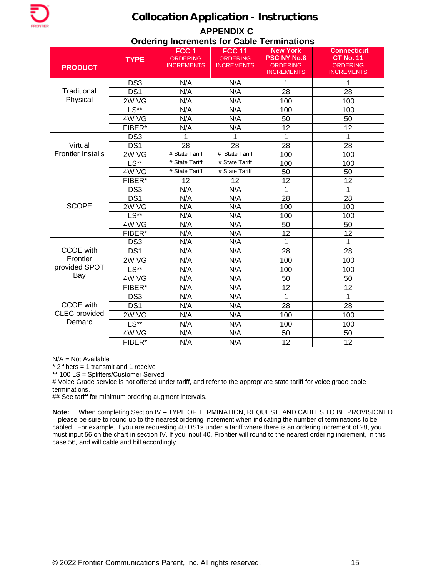# **APPENDIX C Ordering Increments for Cable Terminations**

| <b>PRODUCT</b>           | <b>TYPE</b>     | FCC <sub>1</sub><br><b>ORDERING</b><br><b>INCREMENTS</b> | <b>FCC 11</b><br><b>ORDERING</b><br><b>INCREMENTS</b> | <b>New York</b><br><b>PSC NY No.8</b><br><b>ORDERING</b><br><b>INCREMENTS</b> | <b>Connecticut</b><br><b>CT No. 11</b><br><b>ORDERING</b><br><b>INCREMENTS</b> |
|--------------------------|-----------------|----------------------------------------------------------|-------------------------------------------------------|-------------------------------------------------------------------------------|--------------------------------------------------------------------------------|
|                          | DS <sub>3</sub> | N/A                                                      | N/A                                                   | 1                                                                             | 1                                                                              |
| Traditional              | DS <sub>1</sub> | N/A                                                      | N/A                                                   | 28                                                                            | 28                                                                             |
| Physical                 | 2W VG           | N/A                                                      | N/A                                                   | 100                                                                           | 100                                                                            |
|                          | $LS**$          | N/A                                                      | N/A                                                   | 100                                                                           | 100                                                                            |
|                          | 4W VG           | N/A                                                      | N/A                                                   | 50                                                                            | 50                                                                             |
|                          | FIBER*          | N/A                                                      | N/A                                                   | 12                                                                            | 12                                                                             |
|                          | DS <sub>3</sub> | 1                                                        | 1                                                     | 1                                                                             | 1                                                                              |
| Virtual                  | DS <sub>1</sub> | 28                                                       | 28                                                    | 28                                                                            | 28                                                                             |
| <b>Frontier Installs</b> | 2W VG           | # State Tariff                                           | # State Tariff                                        | 100                                                                           | 100                                                                            |
|                          | $LS**$          | # State Tariff                                           | # State Tariff                                        | 100                                                                           | 100                                                                            |
|                          | 4W VG           | # State Tariff                                           | # State Tariff                                        | 50                                                                            | 50                                                                             |
|                          | FIBER*          | 12                                                       | 12                                                    | 12                                                                            | 12                                                                             |
|                          | DS <sub>3</sub> | N/A                                                      | N/A                                                   | 1                                                                             | 1                                                                              |
|                          | DS1             | N/A                                                      | N/A                                                   | 28                                                                            | 28                                                                             |
| <b>SCOPE</b>             | 2W VG           | N/A                                                      | N/A                                                   | 100                                                                           | 100                                                                            |
|                          | $LS**$          | N/A                                                      | N/A                                                   | 100                                                                           | 100                                                                            |
|                          | 4W VG           | N/A                                                      | N/A                                                   | 50                                                                            | 50                                                                             |
|                          | FIBER*          | N/A                                                      | N/A                                                   | 12                                                                            | 12                                                                             |
|                          | DS <sub>3</sub> | N/A                                                      | N/A                                                   | 1                                                                             | 1                                                                              |
| <b>CCOE</b> with         | DS <sub>1</sub> | N/A                                                      | N/A                                                   | 28                                                                            | 28                                                                             |
| Frontier                 | 2W VG           | N/A                                                      | N/A                                                   | 100                                                                           | 100                                                                            |
| provided SPOT            | $LS**$          | N/A                                                      | N/A                                                   | 100                                                                           | 100                                                                            |
| Bay                      | 4W VG           | N/A                                                      | N/A                                                   | 50                                                                            | 50                                                                             |
|                          | FIBER*          | N/A                                                      | N/A                                                   | 12                                                                            | 12                                                                             |
|                          | DS <sub>3</sub> | N/A                                                      | N/A                                                   | 1                                                                             | 1                                                                              |
| <b>CCOE</b> with         | DS <sub>1</sub> | N/A                                                      | N/A                                                   | 28                                                                            | 28                                                                             |
| <b>CLEC</b> provided     | 2W VG           | N/A                                                      | N/A                                                   | 100                                                                           | 100                                                                            |
| Demarc                   | $LS**$          | N/A                                                      | N/A                                                   | 100                                                                           | 100                                                                            |
|                          | 4W VG           | N/A                                                      | N/A                                                   | 50                                                                            | 50                                                                             |
|                          | FIBER*          | N/A                                                      | N/A                                                   | 12                                                                            | 12                                                                             |

N/A = Not Available

 $*$  2 fibers = 1 transmit and 1 receive

\*\* 100 LS = Splitters/Customer Served

# Voice Grade service is not offered under tariff, and refer to the appropriate state tariff for voice grade cable terminations.

## See tariff for minimum ordering augment intervals.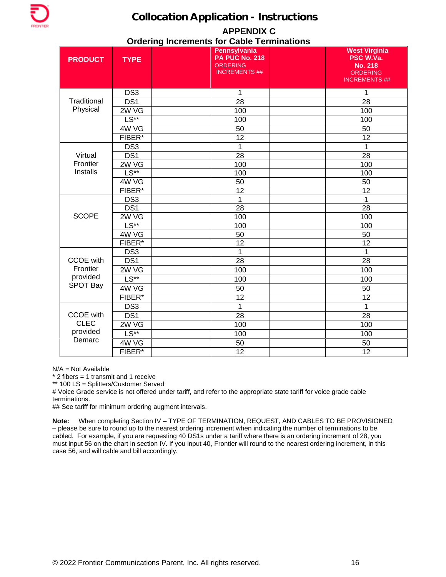

## **APPENDIX C Ordering Increments for Cable Terminations**

| <b>PRODUCT</b>   | <b>TYPE</b>          | Pennsylvania<br><b>PA PUC No. 218</b><br><b>ORDERING</b><br><b>INCREMENTS ##</b> | <b>West Virginia</b><br>PSC W.Va.<br><b>No. 218</b><br><b>ORDERING</b><br><b>INCREMENTS ##</b> |
|------------------|----------------------|----------------------------------------------------------------------------------|------------------------------------------------------------------------------------------------|
|                  | DS <sub>3</sub>      | 1                                                                                | 1                                                                                              |
| Traditional      | DS1                  | 28                                                                               | 28                                                                                             |
| Physical         | 2W VG                | 100                                                                              | 100                                                                                            |
|                  | $LS**$               | 100                                                                              | 100                                                                                            |
|                  | 4W VG                | 50                                                                               | 50                                                                                             |
|                  | FIBER*               | 12                                                                               | 12                                                                                             |
|                  | DS <sub>3</sub>      | 1                                                                                | 1                                                                                              |
| Virtual          | DS1                  | 28                                                                               | 28                                                                                             |
| Frontier         | 2WVG                 | 100                                                                              | 100                                                                                            |
| Installs         | $L\overline{S^{**}}$ | 100                                                                              | 100                                                                                            |
|                  | 4W VG                | 50                                                                               | 50                                                                                             |
|                  | FIBER*               | 12                                                                               | 12                                                                                             |
|                  | DS <sub>3</sub>      | 1                                                                                | $\mathbf 1$                                                                                    |
|                  | DS1                  | 28                                                                               | 28                                                                                             |
| <b>SCOPE</b>     | 2W VG                | 100                                                                              | 100                                                                                            |
|                  | $LS**$               | 100                                                                              | 100                                                                                            |
|                  | 4W VG                | 50                                                                               | 50                                                                                             |
|                  | FIBER*               | 12                                                                               | 12                                                                                             |
|                  | DS <sub>3</sub>      | $\mathbf{1}$                                                                     | 1                                                                                              |
| <b>CCOE</b> with | DS <sub>1</sub>      | $\overline{28}$                                                                  | 28                                                                                             |
| Frontier         | 2W VG                | 100                                                                              | 100                                                                                            |
| provided         | $LS**$               | 100                                                                              | 100                                                                                            |
| <b>SPOT Bay</b>  | 4W VG                | 50                                                                               | 50                                                                                             |
|                  | FIBER*               | 12                                                                               | 12                                                                                             |
|                  | DS <sub>3</sub>      | $\mathbf{1}$                                                                     | 1                                                                                              |
| <b>CCOE</b> with | DS <sub>1</sub>      | 28                                                                               | 28                                                                                             |
| <b>CLEC</b>      | 2W VG                | 100                                                                              | 100                                                                                            |
| provided         | $LS**$               | 100                                                                              | 100                                                                                            |
| Demarc           | 4W VG                | 50                                                                               | 50                                                                                             |
|                  | FIBER*               | 12                                                                               | 12                                                                                             |

N/A = Not Available

\* 2 fibers = 1 transmit and 1 receive

\*\* 100 LS = Splitters/Customer Served

# Voice Grade service is not offered under tariff, and refer to the appropriate state tariff for voice grade cable terminations.

## See tariff for minimum ordering augment intervals.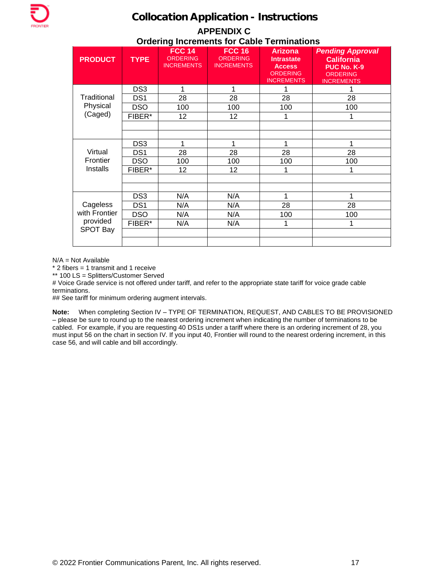# **APPENDIX C Ordering Increments for Cable Terminations**

| <b>PRODUCT</b>  | <b>TYPE</b>     | <b>FCC 14</b><br><b>ORDERING</b><br><b>INCREMENTS</b> | <b>FCC 16</b><br><b>ORDERING</b><br><b>INCREMENTS</b> | <b>Arizona</b><br>Intrastate<br><b>Access</b><br><b>ORDERING</b><br><b>INCREMENTS</b> | <b>Pending Approval</b><br><b>California</b><br>PUC No. K-9<br><b>ORDERING</b><br><b>INCREMENTS</b> |
|-----------------|-----------------|-------------------------------------------------------|-------------------------------------------------------|---------------------------------------------------------------------------------------|-----------------------------------------------------------------------------------------------------|
|                 | DS <sub>3</sub> | 1                                                     | 1                                                     | 1                                                                                     |                                                                                                     |
| Traditional     | DS <sub>1</sub> | 28                                                    | 28                                                    | 28                                                                                    | 28                                                                                                  |
| Physical        | <b>DSO</b>      | 100                                                   | 100                                                   | 100                                                                                   | 100                                                                                                 |
| (Caged)         | FIBER*          | 12                                                    | 12                                                    | 1                                                                                     | 1                                                                                                   |
|                 |                 |                                                       |                                                       |                                                                                       |                                                                                                     |
|                 |                 |                                                       |                                                       |                                                                                       |                                                                                                     |
|                 | DS <sub>3</sub> | 1                                                     | 1                                                     | 1                                                                                     | 1                                                                                                   |
| Virtual         | DS <sub>1</sub> | 28                                                    | 28                                                    | 28                                                                                    | 28                                                                                                  |
| Frontier        | <b>DSO</b>      | 100                                                   | 100                                                   | 100                                                                                   | 100                                                                                                 |
| Installs        | FIBER*          | 12                                                    | 12                                                    | 1                                                                                     |                                                                                                     |
|                 |                 |                                                       |                                                       |                                                                                       |                                                                                                     |
|                 |                 |                                                       |                                                       |                                                                                       |                                                                                                     |
|                 | DS <sub>3</sub> | N/A                                                   | N/A                                                   | 1                                                                                     | 1                                                                                                   |
| Cageless        | DS <sub>1</sub> | N/A                                                   | N/A                                                   | 28                                                                                    | 28                                                                                                  |
| with Frontier   | <b>DSO</b>      | N/A                                                   | N/A                                                   | 100                                                                                   | 100                                                                                                 |
| provided        | FIBER*          | N/A                                                   | N/A                                                   | 1                                                                                     | 1                                                                                                   |
| <b>SPOT Bay</b> |                 |                                                       |                                                       |                                                                                       |                                                                                                     |
|                 |                 |                                                       |                                                       |                                                                                       |                                                                                                     |

N/A = Not Available

 $*$  2 fibers = 1 transmit and 1 receive

\*\* 100 LS = Splitters/Customer Served

# Voice Grade service is not offered under tariff, and refer to the appropriate state tariff for voice grade cable terminations.

## See tariff for minimum ordering augment intervals.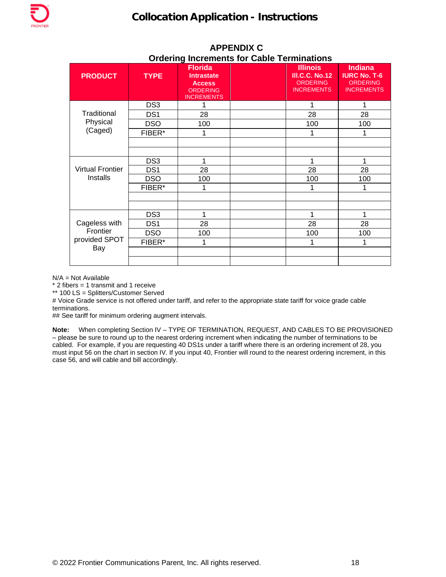| <b>PRODUCT</b>                             | <b>TYPE</b>     | <b>Florida</b><br><b>Intrastate</b><br><b>Access</b><br><b>ORDERING</b><br><b>INCREMENTS</b> | <b>Illinois</b><br><b>III.C.C. No.12</b><br><b>ORDERING</b><br><b>INCREMENTS</b> | <b>Indiana</b><br><b>IURC No. T-6</b><br><b>ORDERING</b><br><b>INCREMENTS</b> |
|--------------------------------------------|-----------------|----------------------------------------------------------------------------------------------|----------------------------------------------------------------------------------|-------------------------------------------------------------------------------|
| Traditional<br>Physical<br>(Caged)         | DS <sub>3</sub> |                                                                                              | 1                                                                                |                                                                               |
|                                            | DS <sub>1</sub> | 28                                                                                           | 28                                                                               | 28                                                                            |
|                                            | <b>DSO</b>      | 100                                                                                          | 100                                                                              | 100                                                                           |
|                                            | FIBER*          | 1                                                                                            | 1                                                                                | 1                                                                             |
|                                            |                 |                                                                                              |                                                                                  |                                                                               |
|                                            |                 |                                                                                              |                                                                                  |                                                                               |
|                                            | DS <sub>3</sub> |                                                                                              | 1                                                                                | 1                                                                             |
| <b>Virtual Frontier</b>                    | DS <sub>1</sub> | 28                                                                                           | 28                                                                               | 28                                                                            |
| Installs                                   | <b>DSO</b>      | 100                                                                                          | 100                                                                              | 100                                                                           |
|                                            | FIBER*          |                                                                                              | 1                                                                                |                                                                               |
|                                            |                 |                                                                                              |                                                                                  |                                                                               |
|                                            |                 |                                                                                              |                                                                                  |                                                                               |
| Cageless with<br>Frontier<br>provided SPOT | DS <sub>3</sub> | 1                                                                                            | 1                                                                                | 1                                                                             |
|                                            | DS <sub>1</sub> | 28                                                                                           | 28                                                                               | 28                                                                            |
|                                            | <b>DSO</b>      | 100                                                                                          | 100                                                                              | 100                                                                           |
|                                            | FIBER*          | 1                                                                                            | 1                                                                                | 1                                                                             |
| Bay                                        |                 |                                                                                              |                                                                                  |                                                                               |
|                                            |                 |                                                                                              |                                                                                  |                                                                               |

## **APPENDIX C Ordering Increments for Cable Terminations**

N/A = Not Available

\* 2 fibers = 1 transmit and 1 receive

\*\* 100 LS = Splitters/Customer Served

# Voice Grade service is not offered under tariff, and refer to the appropriate state tariff for voice grade cable terminations.

## See tariff for minimum ordering augment intervals.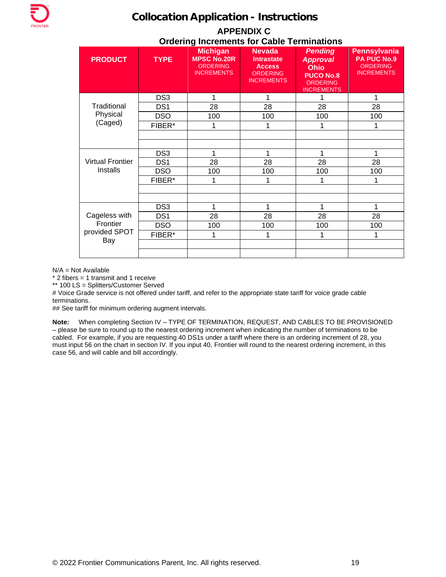| <b>APPENDIX C</b>                                 |
|---------------------------------------------------|
| <b>Ordering Increments for Cable Terminations</b> |

| <b>PRODUCT</b>                   | <b>TYPE</b>     | <b>Michigan</b><br><b>MPSC No.20R</b><br><b>ORDERING</b><br><b>INCREMENTS</b> | <b>Nevada</b><br><b>Intrastate</b><br><b>Access</b><br>ORDERING<br><b>INCREMENTS</b> | <b>Pending</b><br><b>Approval</b><br><b>Ohio</b><br><b>PUCO No.8</b><br><b>ORDERING</b><br><b>INCREMENTS</b> | <b>Pennsylvania</b><br><b>PA PUC No.9</b><br><b>ORDERING</b><br><b>INCREMENTS</b> |
|----------------------------------|-----------------|-------------------------------------------------------------------------------|--------------------------------------------------------------------------------------|--------------------------------------------------------------------------------------------------------------|-----------------------------------------------------------------------------------|
|                                  | DS <sub>3</sub> |                                                                               |                                                                                      |                                                                                                              | 1                                                                                 |
| Traditional                      | DS <sub>1</sub> | 28                                                                            | 28                                                                                   | 28                                                                                                           | 28                                                                                |
| Physical                         | <b>DSO</b>      | 100                                                                           | 100                                                                                  | 100                                                                                                          | 100                                                                               |
| (Caged)                          | FIBER*          | 1                                                                             | 1                                                                                    |                                                                                                              | 1                                                                                 |
|                                  |                 |                                                                               |                                                                                      |                                                                                                              |                                                                                   |
|                                  | DS <sub>3</sub> |                                                                               |                                                                                      |                                                                                                              | 1                                                                                 |
| <b>Virtual Frontier</b>          | DS <sub>1</sub> | 28                                                                            | 28                                                                                   | 28                                                                                                           | 28                                                                                |
| Installs                         | <b>DSO</b>      | 100                                                                           | 100                                                                                  | 100                                                                                                          | 100                                                                               |
|                                  | FIBER*          |                                                                               |                                                                                      |                                                                                                              |                                                                                   |
|                                  |                 |                                                                               |                                                                                      |                                                                                                              |                                                                                   |
|                                  | DS <sub>3</sub> | 1                                                                             | 1                                                                                    | 1                                                                                                            | 1                                                                                 |
| Cageless with                    | DS <sub>1</sub> | 28                                                                            | 28                                                                                   | 28                                                                                                           | 28                                                                                |
| Frontier<br>provided SPOT<br>Bay | <b>DSO</b>      | 100                                                                           | 100                                                                                  | 100                                                                                                          | 100                                                                               |
|                                  | FIBER*          |                                                                               |                                                                                      |                                                                                                              |                                                                                   |
|                                  |                 |                                                                               |                                                                                      |                                                                                                              |                                                                                   |

N/A = Not Available

 $*$  2 fibers = 1 transmit and 1 receive

\*\* 100 LS = Splitters/Customer Served

# Voice Grade service is not offered under tariff, and refer to the appropriate state tariff for voice grade cable terminations.

## See tariff for minimum ordering augment intervals.